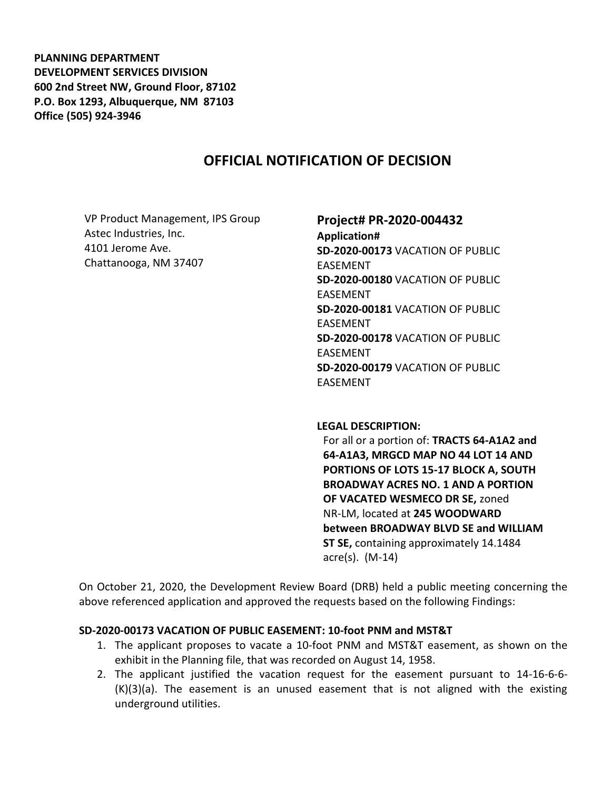**PLANNING DEPARTMENT DEVELOPMENT SERVICES DIVISION 600 2nd Street NW, Ground Floor, 87102 P.O. Box 1293, Albuquerque, NM 87103 Office (505) 924-3946** 

## **OFFICIAL NOTIFICATION OF DECISION**

VP Product Management, IPS Group Astec Industries, Inc. 4101 Jerome Ave. Chattanooga, NM 37407

# **Project# PR-2020-004432**

**Application# SD-2020-00173** VACATION OF PUBLIC EASEMENT **SD-2020-00180** VACATION OF PUBLIC EASEMENT **SD-2020-00181** VACATION OF PUBLIC EASEMENT **SD-2020-00178** VACATION OF PUBLIC EASEMENT **SD-2020-00179** VACATION OF PUBLIC EASEMENT

#### **LEGAL DESCRIPTION:**

For all or a portion of: **TRACTS 64-A1A2 and 64-A1A3, MRGCD MAP NO 44 LOT 14 AND PORTIONS OF LOTS 15-17 BLOCK A, SOUTH BROADWAY ACRES NO. 1 AND A PORTION OF VACATED WESMECO DR SE,** zoned NR-LM, located at **245 WOODWARD between BROADWAY BLVD SE and WILLIAM ST SE,** containing approximately 14.1484 acre(s). (M-14)

On October 21, 2020, the Development Review Board (DRB) held a public meeting concerning the above referenced application and approved the requests based on the following Findings:

#### **SD-2020-00173 VACATION OF PUBLIC EASEMENT: 10-foot PNM and MST&T**

- 1. The applicant proposes to vacate a 10-foot PNM and MST&T easement, as shown on the exhibit in the Planning file, that was recorded on August 14, 1958.
- 2. The applicant justified the vacation request for the easement pursuant to 14-16-6-6- (K)(3)(a). The easement is an unused easement that is not aligned with the existing underground utilities.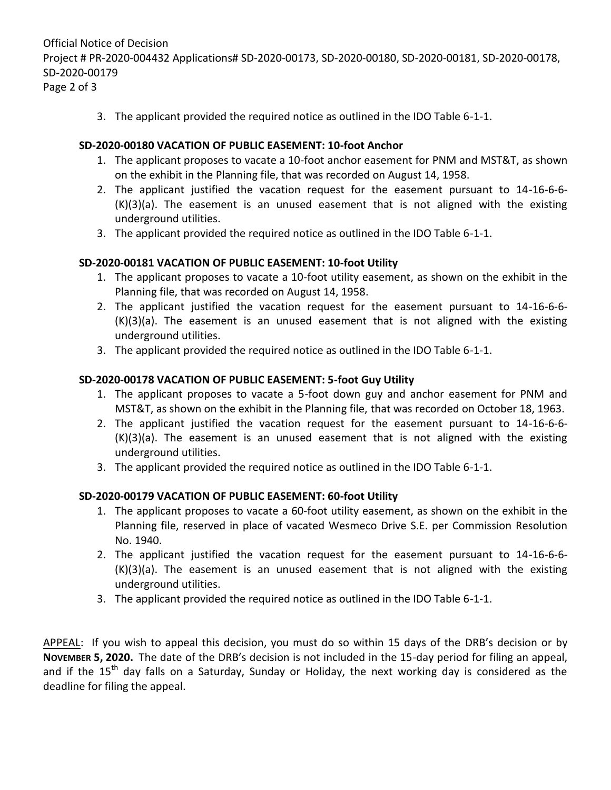Official Notice of Decision Project # PR-2020-004432 Applications# SD-2020-00173, SD-2020-00180, SD-2020-00181, SD-2020-00178, SD-2020-00179 Page 2 of 3

3. The applicant provided the required notice as outlined in the IDO Table 6-1-1.

### **SD-2020-00180 VACATION OF PUBLIC EASEMENT: 10-foot Anchor**

- 1. The applicant proposes to vacate a 10-foot anchor easement for PNM and MST&T, as shown on the exhibit in the Planning file, that was recorded on August 14, 1958.
- 2. The applicant justified the vacation request for the easement pursuant to 14-16-6-6- (K)(3)(a). The easement is an unused easement that is not aligned with the existing underground utilities.
- 3. The applicant provided the required notice as outlined in the IDO Table 6-1-1.

#### **SD-2020-00181 VACATION OF PUBLIC EASEMENT: 10-foot Utility**

- 1. The applicant proposes to vacate a 10-foot utility easement, as shown on the exhibit in the Planning file, that was recorded on August 14, 1958.
- 2. The applicant justified the vacation request for the easement pursuant to 14-16-6-6- (K)(3)(a). The easement is an unused easement that is not aligned with the existing underground utilities.
- 3. The applicant provided the required notice as outlined in the IDO Table 6-1-1.

#### **SD-2020-00178 VACATION OF PUBLIC EASEMENT: 5-foot Guy Utility**

- 1. The applicant proposes to vacate a 5-foot down guy and anchor easement for PNM and MST&T, as shown on the exhibit in the Planning file, that was recorded on October 18, 1963.
- 2. The applicant justified the vacation request for the easement pursuant to 14-16-6-6- (K)(3)(a). The easement is an unused easement that is not aligned with the existing underground utilities.
- 3. The applicant provided the required notice as outlined in the IDO Table 6-1-1.

## **SD-2020-00179 VACATION OF PUBLIC EASEMENT: 60-foot Utility**

- 1. The applicant proposes to vacate a 60-foot utility easement, as shown on the exhibit in the Planning file, reserved in place of vacated Wesmeco Drive S.E. per Commission Resolution No. 1940.
- 2. The applicant justified the vacation request for the easement pursuant to 14-16-6-6- (K)(3)(a). The easement is an unused easement that is not aligned with the existing underground utilities.
- 3. The applicant provided the required notice as outlined in the IDO Table 6-1-1.

APPEAL: If you wish to appeal this decision, you must do so within 15 days of the DRB's decision or by **NOVEMBER 5, 2020.** The date of the DRB's decision is not included in the 15-day period for filing an appeal, and if the  $15<sup>th</sup>$  day falls on a Saturday, Sunday or Holiday, the next working day is considered as the deadline for filing the appeal.